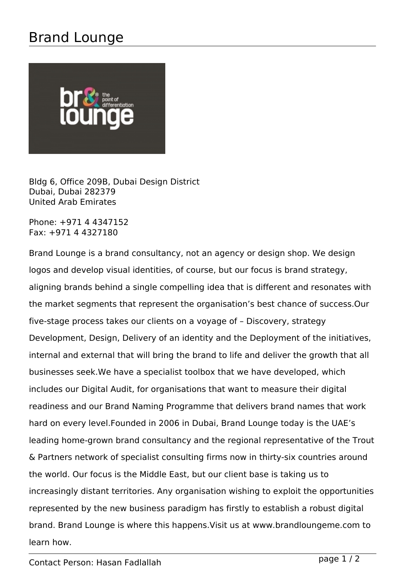## Brand Lounge



Bldg 6, Office 209B, Dubai Design District Dubai, Dubai 282379 United Arab Emirates

Phone: +971 4 4347152 Fax: +971 4 4327180

Brand Lounge is a brand consultancy, not an agency or design shop. We design logos and develop visual identities, of course, but our focus is brand strategy, aligning brands behind a single compelling idea that is different and resonates with the market segments that represent the organisation's best chance of success.Our five-stage process takes our clients on a voyage of – Discovery, strategy Development, Design, Delivery of an identity and the Deployment of the initiatives, internal and external that will bring the brand to life and deliver the growth that all businesses seek.We have a specialist toolbox that we have developed, which includes our Digital Audit, for organisations that want to measure their digital readiness and our Brand Naming Programme that delivers brand names that work hard on every level.Founded in 2006 in Dubai, Brand Lounge today is the UAE's leading home-grown brand consultancy and the regional representative of the Trout & Partners network of specialist consulting firms now in thirty-six countries around the world. Our focus is the Middle East, but our client base is taking us to increasingly distant territories. Any organisation wishing to exploit the opportunities represented by the new business paradigm has firstly to establish a robust digital brand. Brand Lounge is where this happens.Visit us at www.brandloungeme.com to learn how.